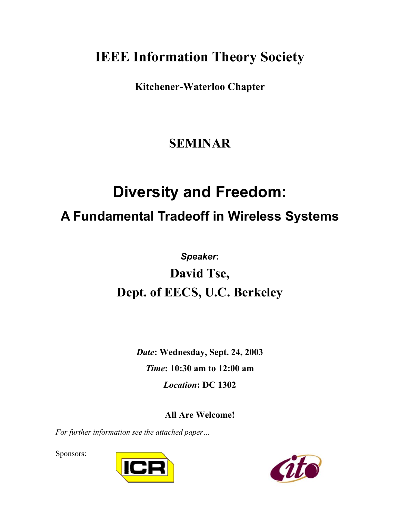# **IEEE Information Theory Society**

**Kitchener-Waterloo Chapter** 

#### **SEMINAR**

# **Diversity and Freedom:**

### **A Fundamental Tradeoff in Wireless Systems**

# *Speaker***: David Tse, Dept. of EECS, U.C. Berkeley**

*Date***: Wednesday, Sept. 24, 2003**  *Time***: 10:30 am to 12:00 am**  *Location***: DC 1302** 

**All Are Welcome!** 

*For further information see the attached paper…* 

Sponsors: